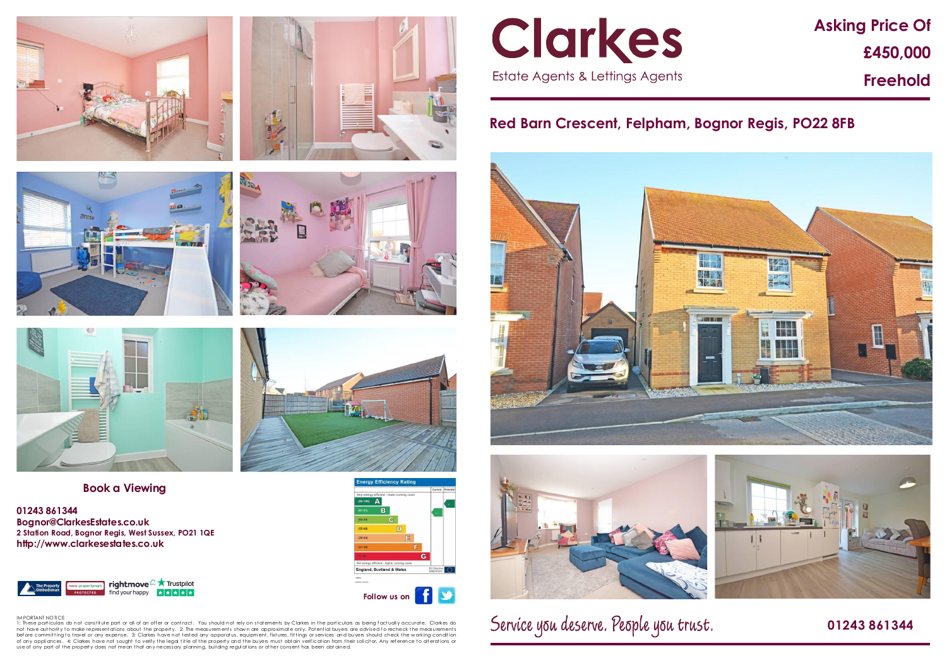# **Asking Price Of £450,000 Freehold**

## **Red Barn Crescent, Felpham, Bognor Regis, PO22 8FB**





Service you deserve. People you trust.

### **01243 861344**











#### **Book a Viewing**

**01243 861344 Bognor@ClarkesEstates.co.uk 2 Station Road, Bognor Regis, West Sussex, PO21 1QE http://www.clarkesestates.co.uk**





IM PORTANT NOTICE<br>1: These particulars do not constitute part or all of an offer or contract. You should not rely on statements by Clarkes in the particulars as being factually accurate. Clarkes do not have authority to make representations about the property. 2: The measurements shown are approximate only. Potential buyers are advised to recheck the measurements before committingto travel or any expense. 3: Clarkes have not tested any apparatus, equipment, fixtures, fittings or services and buyers should check the working condition<br>of any appliances. 4: Clarkes have not sought to use of any part of the property does not mean that any necessary planning, building regulations or other consent has been obt ained.